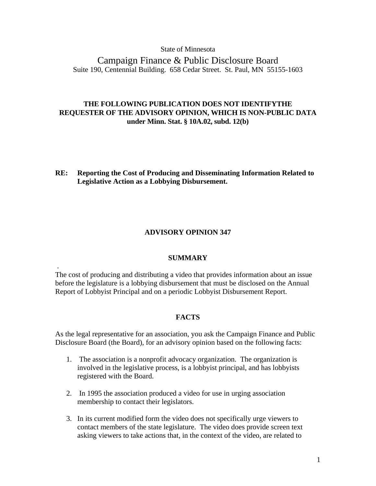## State of Minnesota

Campaign Finance & Public Disclosure Board Suite 190, Centennial Building. 658 Cedar Street. St. Paul, MN 55155-1603

# **THE FOLLOWING PUBLICATION DOES NOT IDENTIFYTHE REQUESTER OF THE ADVISORY OPINION, WHICH IS NON-PUBLIC DATA under Minn. Stat. § 10A.02, subd. 12(b)**

**RE: Reporting the Cost of Producing and Disseminating Information Related to Legislative Action as a Lobbying Disbursement.** 

## **ADVISORY OPINION 347**

## **SUMMARY**

The cost of producing and distributing a video that provides information about an issue before the legislature is a lobbying disbursement that must be disclosed on the Annual Report of Lobbyist Principal and on a periodic Lobbyist Disbursement Report.

.

## **FACTS**

As the legal representative for an association, you ask the Campaign Finance and Public Disclosure Board (the Board), for an advisory opinion based on the following facts:

- 1. The association is a nonprofit advocacy organization. The organization is involved in the legislative process, is a lobbyist principal, and has lobbyists registered with the Board.
- 2. In 1995 the association produced a video for use in urging association membership to contact their legislators.
- 3. In its current modified form the video does not specifically urge viewers to contact members of the state legislature. The video does provide screen text asking viewers to take actions that, in the context of the video, are related to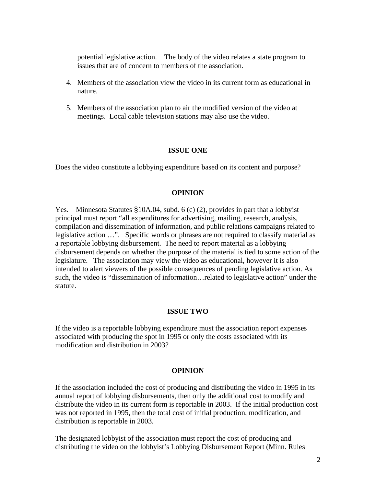potential legislative action. The body of the video relates a state program to issues that are of concern to members of the association.

- 4. Members of the association view the video in its current form as educational in nature.
- 5. Members of the association plan to air the modified version of the video at meetings. Local cable television stations may also use the video.

# **ISSUE ONE**

Does the video constitute a lobbying expenditure based on its content and purpose?

## **OPINION**

Yes. Minnesota Statutes §10A.04, subd. 6 (c) (2), provides in part that a lobbyist principal must report "all expenditures for advertising, mailing, research, analysis, compilation and dissemination of information, and public relations campaigns related to legislative action …". Specific words or phrases are not required to classify material as a reportable lobbying disbursement. The need to report material as a lobbying disbursement depends on whether the purpose of the material is tied to some action of the legislature. The association may view the video as educational, however it is also intended to alert viewers of the possible consequences of pending legislative action. As such, the video is "dissemination of information…related to legislative action" under the statute.

## **ISSUE TWO**

If the video is a reportable lobbying expenditure must the association report expenses associated with producing the spot in 1995 or only the costs associated with its modification and distribution in 2003?

#### **OPINION**

If the association included the cost of producing and distributing the video in 1995 in its annual report of lobbying disbursements, then only the additional cost to modify and distribute the video in its current form is reportable in 2003. If the initial production cost was not reported in 1995, then the total cost of initial production, modification, and distribution is reportable in 2003.

The designated lobbyist of the association must report the cost of producing and distributing the video on the lobbyist's Lobbying Disbursement Report (Minn. Rules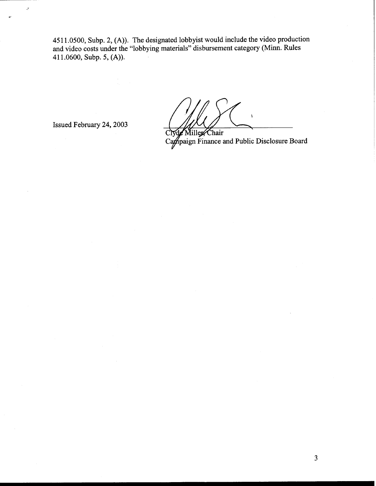4511.0500, Subp. 2, (A)). The designated lobbyist would include the video production and video costs under the "lobbying materials" disbursement category (Minn. Rules 41 1.0600, Subp. 5, (A)).

Issued February 24,2003

 $\mathcal{I}$ 

CIV of Miller Chair<br>Campaign Finance and Public Disclosure Board